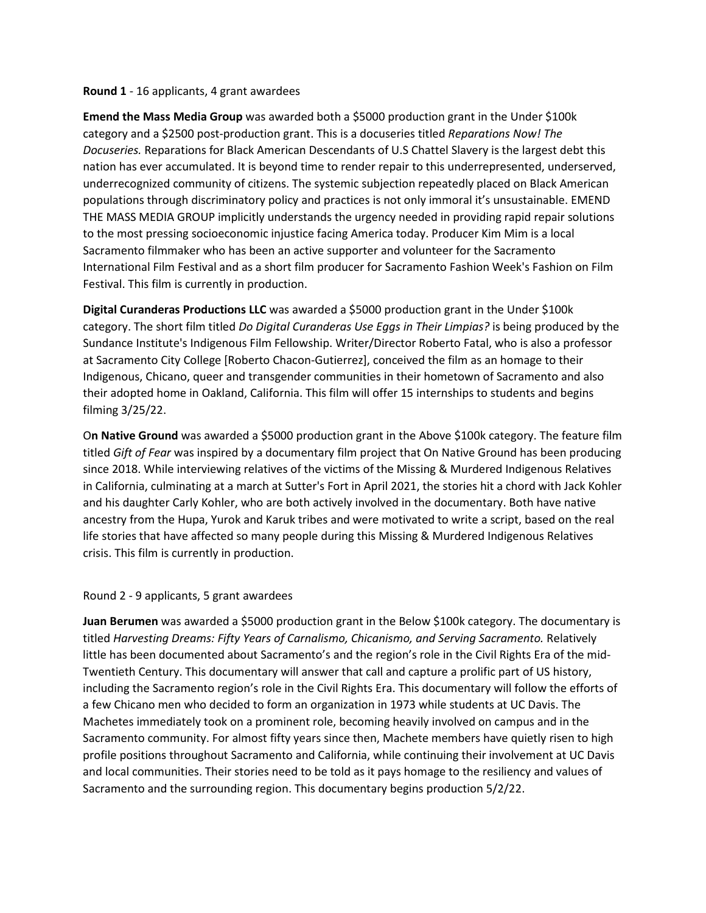## **Round 1** - 16 applicants, 4 grant awardees

**Emend the Mass Media Group** was awarded both a \$5000 production grant in the Under \$100k category and a \$2500 post-production grant. This is a docuseries titled *Reparations Now! The Docuseries.* Reparations for Black American Descendants of U.S Chattel Slavery is the largest debt this nation has ever accumulated. It is beyond time to render repair to this underrepresented, underserved, underrecognized community of citizens. The systemic subjection repeatedly placed on Black American populations through discriminatory policy and practices is not only immoral it's unsustainable. EMEND THE MASS MEDIA GROUP implicitly understands the urgency needed in providing rapid repair solutions to the most pressing socioeconomic injustice facing America today. Producer Kim Mim is a local Sacramento filmmaker who has been an active supporter and volunteer for the Sacramento International Film Festival and as a short film producer for Sacramento Fashion Week's Fashion on Film Festival. This film is currently in production.

**Digital Curanderas Productions LLC** was awarded a \$5000 production grant in the Under \$100k category. The short film titled *Do Digital Curanderas Use Eggs in Their Limpias?* is being produced by the Sundance Institute's Indigenous Film Fellowship. Writer/Director Roberto Fatal, who is also a professor at Sacramento City College [Roberto Chacon-Gutierrez], conceived the film as an homage to their Indigenous, Chicano, queer and transgender communities in their hometown of Sacramento and also their adopted home in Oakland, California. This film will offer 15 internships to students and begins filming 3/25/22.

O**n Native Ground** was awarded a \$5000 production grant in the Above \$100k category. The feature film titled *Gift of Fear* was inspired by a documentary film project that On Native Ground has been producing since 2018. While interviewing relatives of the victims of the Missing & Murdered Indigenous Relatives in California, culminating at a march at Sutter's Fort in April 2021, the stories hit a chord with Jack Kohler and his daughter Carly Kohler, who are both actively involved in the documentary. Both have native ancestry from the Hupa, Yurok and Karuk tribes and were motivated to write a script, based on the real life stories that have affected so many people during this Missing & Murdered Indigenous Relatives crisis. This film is currently in production.

## Round 2 - 9 applicants, 5 grant awardees

**Juan Berumen** was awarded a \$5000 production grant in the Below \$100k category. The documentary is titled *Harvesting Dreams: Fifty Years of Carnalismo, Chicanismo, and Serving Sacramento.* Relatively little has been documented about Sacramento's and the region's role in the Civil Rights Era of the mid-Twentieth Century. This documentary will answer that call and capture a prolific part of US history, including the Sacramento region's role in the Civil Rights Era. This documentary will follow the efforts of a few Chicano men who decided to form an organization in 1973 while students at UC Davis. The Machetes immediately took on a prominent role, becoming heavily involved on campus and in the Sacramento community. For almost fifty years since then, Machete members have quietly risen to high profile positions throughout Sacramento and California, while continuing their involvement at UC Davis and local communities. Their stories need to be told as it pays homage to the resiliency and values of Sacramento and the surrounding region. This documentary begins production 5/2/22.